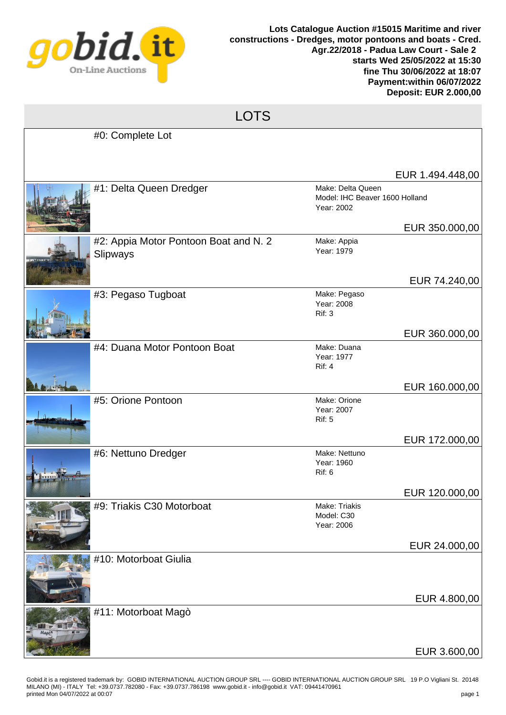

## LOTS

| #0: Complete Lot                                  |                                                                   |                  |
|---------------------------------------------------|-------------------------------------------------------------------|------------------|
|                                                   |                                                                   | EUR 1.494.448,00 |
| #1: Delta Queen Dredger                           | Make: Delta Queen<br>Model: IHC Beaver 1600 Holland<br>Year: 2002 |                  |
|                                                   |                                                                   | EUR 350.000,00   |
| #2: Appia Motor Pontoon Boat and N. 2<br>Slipways | Make: Appia<br>Year: 1979                                         |                  |
|                                                   |                                                                   | EUR 74.240,00    |
| #3: Pegaso Tugboat                                | Make: Pegaso<br>Year: 2008<br>Rif: 3                              |                  |
|                                                   |                                                                   | EUR 360.000,00   |
| #4: Duana Motor Pontoon Boat                      | Make: Duana<br>Year: 1977<br>Rif: 4                               |                  |
|                                                   |                                                                   | EUR 160.000,00   |
| #5: Orione Pontoon                                | Make: Orione<br>Year: 2007<br><b>Rif: 5</b>                       |                  |
|                                                   |                                                                   | EUR 172.000,00   |
| #6: Nettuno Dredger                               | Make: Nettuno<br>Year: 1960<br><b>Rif: 6</b>                      |                  |
|                                                   |                                                                   | EUR 120.000,00   |
| #9: Triakis C30 Motorboat                         | Make: Triakis<br>Model: C30<br>Year: 2006                         |                  |
|                                                   |                                                                   | EUR 24.000,00    |
| #10: Motorboat Giulia                             |                                                                   |                  |
|                                                   |                                                                   | EUR 4.800,00     |
| #11: Motorboat Magò                               |                                                                   |                  |
|                                                   |                                                                   | EUR 3.600,00     |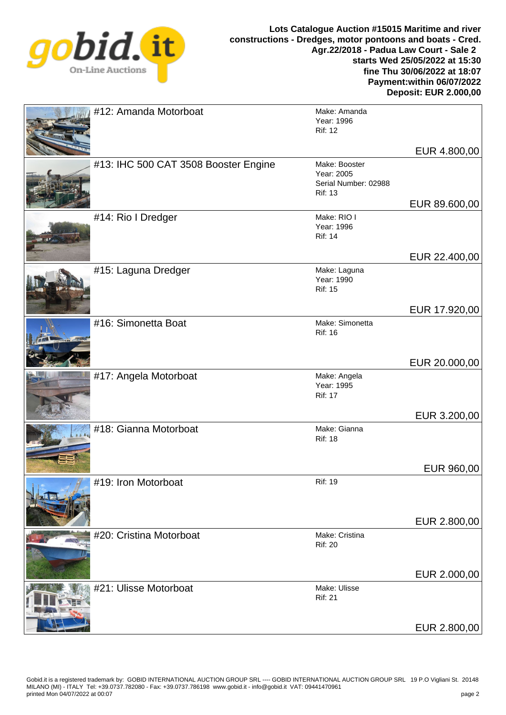

## **Lots Catalogue Auction #15015 Maritime and river constructions - Dredges, motor pontoons and boats - Cred. Agr.22/2018 - Padua Law Court - Sale 2 starts Wed 25/05/2022 at 15:30 fine Thu 30/06/2022 at 18:07 Payment:within 06/07/2022 Deposit: EUR 2.000,00**

| #12: Amanda Motorboat                | Make: Amanda<br>Year: 1996<br><b>Rif: 12</b>                          |               |
|--------------------------------------|-----------------------------------------------------------------------|---------------|
|                                      |                                                                       | EUR 4.800,00  |
| #13: IHC 500 CAT 3508 Booster Engine | Make: Booster<br>Year: 2005<br>Serial Number: 02988<br><b>Rif: 13</b> |               |
|                                      | Make: RIO I                                                           | EUR 89.600,00 |
| #14: Rio I Dredger                   | Year: 1996<br><b>Rif: 14</b>                                          |               |
|                                      |                                                                       | EUR 22.400,00 |
| #15: Laguna Dredger                  | Make: Laguna<br>Year: 1990<br><b>Rif: 15</b>                          |               |
|                                      |                                                                       | EUR 17.920,00 |
| #16: Simonetta Boat                  | Make: Simonetta<br><b>Rif: 16</b>                                     |               |
|                                      |                                                                       | EUR 20.000,00 |
| #17: Angela Motorboat                | Make: Angela<br>Year: 1995<br><b>Rif: 17</b>                          |               |
|                                      |                                                                       | EUR 3.200,00  |
| #18: Gianna Motorboat                | Make: Gianna<br><b>Rif: 18</b>                                        |               |
|                                      |                                                                       | EUR 960,00    |
| #19: Iron Motorboat                  | <b>Rif: 19</b>                                                        |               |
|                                      |                                                                       | EUR 2.800,00  |
| #20: Cristina Motorboat              | Make: Cristina<br><b>Rif: 20</b>                                      |               |
|                                      |                                                                       | EUR 2.000,00  |
| #21: Ulisse Motorboat                | Make: Ulisse<br><b>Rif: 21</b>                                        |               |
|                                      |                                                                       | EUR 2.800,00  |